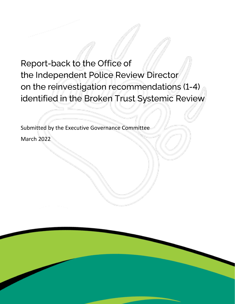# Report-back to the Office of the Independent Police Review Director on the reinvestigation recommendations (1-4) identified in the Broken Trust Systemic Review

Submitted by the Executive Governance Committee March 2022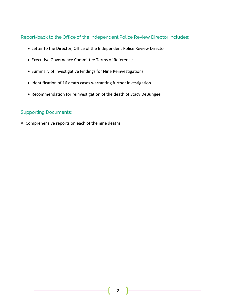# Report-back to the Office of the Independent Police Review Director includes:

- Letter to the Director, Office of the Independent Police Review Director
- Executive Governance Committee Terms of Reference
- Summary of Investigative Findings for Nine Reinvestigations
- Identification of 16 death cases warranting further investigation
- Recommendation for reinvestigation of the death of Stacy DeBungee

# **Supporting Documents:**

A: Comprehensive reports on each of the nine deaths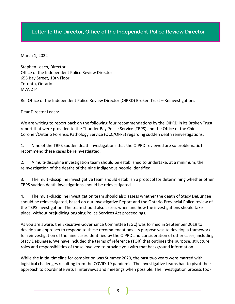# Letter to the Director, Office of the Independent Police Review Director

March 1, 2022

Stephen Leach, Director Office of the Independent Police Review Director 655 Bay Street, 10th Floor Toronto, Ontario M7A 2T4

Re: Office of the Independent Police Review Director (OIPRD) Broken Trust – Reinvestigations

Dear Director Leach:

We are writing to report back on the following four recommendations by the OIPRD in its Broken Trust report that were provided to the Thunder Bay Police Service (TBPS) and the Office of the Chief Coroner/Ontario Forensic Pathology Service (OCC/OFPS) regarding sudden death reinvestigations:

1. Nine of the TBPS sudden death investigations that the OIPRD reviewed are so problematic I recommend these cases be reinvestigated.

2. A multi-discipline investigation team should be established to undertake, at a minimum, the reinvestigation of the deaths of the nine Indigenous people identified.

3. The multi-discipline investigative team should establish a protocol for determining whether other TBPS sudden death investigations should be reinvestigated.

4. The multi-discipline investigation team should also assess whether the death of Stacy DeBungee should be reinvestigated, based on our Investigative Report and the Ontario Provincial Police review of the TBPS investigation. The team should also assess when and how the investigations should take place, without prejudicing ongoing Police Services Act proceedings.

As you are aware, the Executive Governance Committee (EGC) was formed in September 2019 to develop an approach to respond to these recommendations. Its purpose was to develop a framework for reinvestigation of the nine cases identified by the OIPRD and consideration of other cases, including Stacy DeBungee. We have included the terms of reference (TOR) that outlines the purpose, structure, roles and responsibilities of those involved to provide you with that background information.

While the initial timeline for completion was Summer 2020, the past two years were marred with logistical challenges resulting from the COVID-19 pandemic. The investigative teams had to pivot their approach to coordinate virtual interviews and meetings when possible. The investigation process took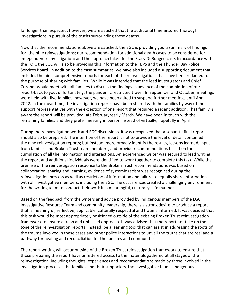far longer than expected; however, we are satisfied that the additional time ensured thorough investigations in pursuit of the truths surrounding these deaths.

Now that the recommendations above are satisfied, the EGC is providing you a summary of findings for: the nine reinvestigations; our recommendation for additional death cases to be considered for independent reinvestigation; and the approach taken for the Stacy DeBungee case. In accordance with the TOR, the EGC will also be providing this information to the TBPS and the Thunder Bay Police Services Board. In addition to the case summaries, we have also included a supporting document that includes the nine comprehensive reports for each of the reinvestigations that have been redacted for the purpose of sharing with families. While it was intended that the lead investigators and Chief Coroner would meet with all families to discuss the findings in advance of the completion of our report-back to you, unfortunately, the pandemic restricted travel. In September and October, meetings were held with five families; however, we have been asked to suspend further meetings until April 2022. In the meantime, the investigation reports have been shared with the families by way of their support representatives with the exception of one report that required a recent addition. That family is aware the report will be provided late February/early March. We have been in touch with the remaining families and they prefer meeting in person instead of virtually, hopefully in April.

During the reinvestigation work and EGC discussions, it was recognized that a separate final report should also be prepared. The intention of the report is not to provide the level of detail contained in the nine reinvestigation reports; but instead, more broadly identify the results, lessons learned, input from families and Broken Trust team members, and provide recommendations based on the cumulation of all the information and interactions. An experienced writer was secured to lead writing the report and additional individuals were identified to work together to complete this task. While the premise of the reinvestigation response to the Broken Trust recommendations was based on collaboration, sharing and learning, evidence of systemic racism was recognized during the reinvestigation process as well as restriction of information and failure to equally share information with all investigative members, including the EGC. The occurrences created a challenging environment for the writing team to conduct their work in a meaningful, culturally safe manner.

Based on the feedback from the writers and advice provided by Indigenous members of the EGC, Investigative Resource Team and community leadership, there is a strong desire to produce a report that is meaningful, reflective, applicable, culturally respectful and trauma informed. It was decided that this task would be most appropriately positioned outside of the existing Broken Trust reinvestigation framework to ensure a fresh and unbiased approach. It was advised that the report not take on the tone of the reinvestigation reports; instead, be a learning tool that can assist in addressing the roots of the trauma involved in these cases and other police interactions to unveil the truths that are real and a pathway for healing and reconciliation for the families and communities.

The report writing will occur outside of the Broken Trust reinvestigation framework to ensure that those preparing the report have unfettered access to the materials gathered at all stages of the reinvestigation, including thoughts, experiences and recommendations made by those involved in the investigation process – the families and their supporters, the investigative teams, Indigenous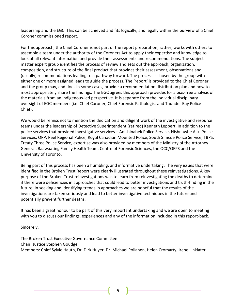leadership and the EGC. This can be achieved and fits logically, and legally within the purview of a Chief Coroner commissioned report.

For this approach, the Chief Coroner is not part of the report preparation; rather, works with others to assemble a team under the authority of the Coroners Act to apply their expertise and knowledge to look at all relevant information and provide their assessments and recommendations. The subject matter expert group identifies the process of review and sets out the approach, organization, composition, and structure of the final product that provides their assessment, observations and (usually) recommendations leading to a pathway forward. The process is chosen by the group with either one or more assigned leads to guide the process. The 'report' is provided to the Chief Coroner and the group may, and does in some cases, provide a recommendation distribution plan and how to most appropriately share the findings. The EGC agrees this approach provides for a bias-free analysis of the materials from an Indigenous-led perspective. It is separate from the individual disciplinary oversight of EGC members (i.e. Chief Coroner, Chief Forensic Pathologist and Thunder Bay Police Chief).

We would be remiss not to mention the dedication and diligent work of the investigative and resource teams under the leadership of Detective Superintendent (retired) Kenneth Leppert. In addition to the police services that provided investigative services – Anishinabek Police Service, Nishnawbe Aski Police Services, OPP, Peel Regional Police, Royal Canadian Mounted Police, South Simcoe Police Service, TBPS, Treaty Three Police Service, expertise was also provided by members of the Ministry of the Attorney General, Baawaating Family Health Team, Centre of Forensic Sciences, the OCC/OFPS and the University of Toronto.

Being part of this process has been a humbling, and informative undertaking. The very issues that were identified in the Broken Trust Report were clearly illustrated throughout these reinvestigations. A key purpose of the Broken Trust reinvestigations was to learn from reinvestigating the deaths to determine if there were deficiencies in approaches that could lead to better investigations and truth-finding in the future. In seeking and identifying trends in approaches we are hopeful that the results of the investigations are taken seriously and lead to better investigative techniques in the future and potentially prevent further deaths.

It has been a great honour to be part of this very important undertaking and we are open to meeting with you to discuss our findings, experiences and any of the information included in this report-back.

Sincerely,

The Broken Trust Executive Governance Committee: Chair: Justice Stephen Goudge Members: Chief Sylvie Hauth, Dr. Dirk Huyer, Dr. Michael Pollanen, Helen Cromarty, Irene Linklater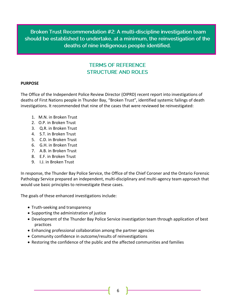Broken Trust Recommendation #2: A multi-discipline investigation team should be established to undertake, at a minimum, the reinvestigation of the deaths of nine indigenous people identified.

# **TERMS OF REFERENCE STRUCTURE AND ROLES**

## **PURPOSE**

The Office of the Independent Police Review Director (OIPRD) recent report into investigations of deaths of First Nations people in Thunder Bay, "Broken Trust", identified systemic failings of death investigations. It recommended that nine of the cases that were reviewed be reinvestigated:

- 1. M.N. in Broken Trust
- 2. O.P. in Broken Trust
- 3. Q.R. in Broken Trust
- 4. S.T. in Broken Trust
- 5. C.D. in Broken Trust
- 6. G.H. in Broken Trust
- 7. A.B. in Broken Trust
- 8. E.F. in Broken Trust
- 9. I.J. in Broken Trust

In response, the Thunder Bay Police Service, the Office of the Chief Coroner and the Ontario Forensic Pathology Service prepared an independent, multi-disciplinary and multi-agency team approach that would use basic principles to reinvestigate these cases.

The goals of these enhanced investigations include:

- Truth-seeking and transparency
- Supporting the administration of justice
- Development of the Thunder Bay Police Service investigation team through application of best practices
- Enhancing professional collaboration among the partner agencies
- Community confidence in outcome/results of reinvestigations
- Restoring the confidence of the public and the affected communities and families

6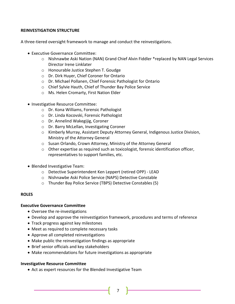# **REINVESTIGATION STRUCTURE**

A three-tiered oversight framework to manage and conduct the reinvestigations.

- Executive Governance Committee:
	- o Nishnawbe Aski Nation (NAN) Grand Chief Alvin Fiddler \*replaced by NAN Legal Services Director Irene Linklater
	- o Honourable Justice Stephen T. Goudge
	- o Dr. Dirk Huyer, Chief Coroner for Ontario
	- o Dr. Michael Pollanen, Chief Forensic Pathologist for Ontario
	- o Chief Sylvie Hauth, Chief of Thunder Bay Police Service
	- o Ms. Helen Cromarty, First Nation Elder
- Investigative Resource Committee:
	- o Dr. Kona Williams, Forensic Pathologist
	- o Dr. Linda Kocovski, Forensic Pathologist
	- o Dr. Annelind Wakegijig, Coroner
	- o Dr. Barry McLellan, Investigating Coroner
	- o Kimberly Murray, Assistant Deputy Attorney General, Indigenous Justice Division, Ministry of the Attorney General
	- o Susan Orlando, Crown Attorney, Ministry of the Attorney General
	- $\circ$  Other expertise as required such as toxicologist, forensic identification officer, representatives to support families, etc.
- Blended Investigative Team:
	- o Detective Superintendent Ken Leppert (retired OPP) LEAD
	- o Nishnawbe Aski Police Service (NAPS) Detective Constable
	- o Thunder Bay Police Service (TBPS) Detective Constables (5)

## **ROLES**

## **Executive Governance Committee**

- Oversee the re-investigations
- Develop and approve the reinvestigation framework, procedures and terms of reference
- Track progress against key milestones
- Meet as required to complete necessary tasks
- Approve all completed reinvestigations
- Make public the reinvestigation findings as appropriate
- Brief senior officials and key stakeholders
- Make recommendations for future investigations as appropriate

## **Investigative Resource Committee**

• Act as expert resources for the Blended Investigative Team

7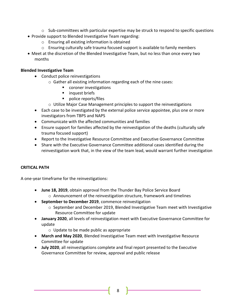- $\circ$  Sub-committees with particular expertise may be struck to respond to specific questions
- Provide support to Blended Investigative Team regarding:
	- o Ensuring all existing information is obtained
	- $\circ$  Ensuring culturally safe trauma focused support is available to family members
- Meet at the discretion of the Blended Investigative Team, but no less than once every two months

# **Blended Investigative Team**

- Conduct police reinvestigations
	- o Gather all existing information regarding each of the nine cases:
		- coroner investigations
		- inquest briefs
		- police reports/files
	- o Utilize Major Case Management principles to support the reinvestigations
- Each case to be investigated by the external police service appointee, plus one or more investigators from TBPS and NAPS
- Communicate with the affected communities and families
- Ensure support for families affected by the reinvestigation of the deaths (culturally safe trauma focused support)
- Report to the Investigative Resource Committee and Executive Governance Committee
- Share with the Executive Governance Committee additional cases identified during the reinvestigation work that, in the view of the team lead, would warrant further investigation

# **CRITICAL PATH**

A one-year timeframe for the reinvestigations:

- **June 18, 2019**, obtain approval from the Thunder Bay Police Service Board o Announcement of the reinvestigation structure, framework and timelines
- **September to December 2019**, commence reinvestigation
	- $\circ$  September and December 2019, Blended Investigative Team meet with Investigative Resource Committee for update
- **January 2020**, all levels of reinvestigation meet with Executive Governance Committee for update
	- o Update to be made public as appropriate
- **March and May 2020**, Blended Investigative Team meet with Investigative Resource Committee for update
- **July 2020**, all reinvestigations complete and final report presented to the Executive Governance Committee for review, approval and public release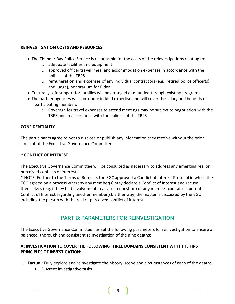# **REINVESTIGATION COSTS AND RESOURCES**

- The Thunder Bay Police Service is responsible for the costs of the reinvestigations relating to:
	- o adequate facilities and equipment
	- $\circ$  approved officer travel, meal and accommodation expenses in accordance with the policies of the TBPS
	- $\circ$  remuneration and expenses of any individual contractors (e.g., retired police officer(s) and judge), honorarium for Elder
- Culturally safe support for families will be arranged and funded through existing programs
- The partner agencies will contribute in-kind expertise and will cover the salary and benefits of participating members
	- $\circ$  Coverage for travel expenses to attend meetings may be subject to negotiation with the TBPS and in accordance with the policies of the TBPS

# **CONFIDENTIALITY**

The participants agree to not to disclose or publish any information they receive without the prior consent of the Executive Governance Committee.

# **\* CONFLICT OF INTEREST**

The Executive Governance Committee will be consulted as necessary to address any emerging real or perceived conflicts of interest.

\* NOTE: Further to the Terms of Refence, the EGC approved a Conflict of Interest Protocol in which the ECG agreed on a process whereby any member(s) may declare a Conflict of Interest and recuse themselves (e.g. if they had involvement in a case in question) or any member can raise a potential Conflict of Interest regarding another member(s). Either way, the matter is discussed by the EGC including the person with the real or perceived conflict of interest.

# **PART B: PARAMETERS FOR REINVESTIGATION**

The Executive Governance Committee has set the following parameters for reinvestigation to ensure a balanced, thorough and consistent reinvestigation of the nine deaths:

# **A: INVESTIGATION TO COVER THE FOLLOWING THREE DOMAINS CONSISTENT WITH THE FIRST PRINCIPLES OF INVESTIGATION:**

- 1. **Factual:** Fully explore and reinvestigate the history, scene and circumstances of each of the deaths.
	- Discreet investigative tasks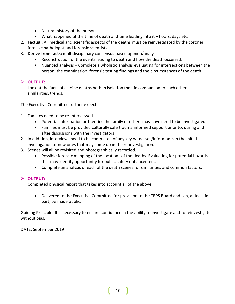- Natural history of the person
- What happened at the time of death and time leading into it hours, days etc.
- 2. **Factual:** All medical and scientific aspects of the deaths must be reinvestigated by the coroner, forensic pathologist and forensic scientists
- 3. **Derive from facts:** multidisciplinary consensus-based opinion/analysis.
	- Reconstruction of the events leading to death and how the death occurred.
	- Nuanced analysis Complete a wholistic analysis evaluating for intersections between the person, the examination, forensic testing findings and the circumstances of the death

# ➢ **OUTPUT:**

Look at the facts of all nine deaths both in isolation then in comparison to each other – similarities, trends.

The Executive Committee further expects:

- 1. Families need to be re-interviewed.
	- Potential information or theories the family or others may have need to be investigated.
	- Families must be provided culturally safe trauma informed support prior to, during and after discussions with the investigators
- 2. In addition, interviews need to be completed of any key witnesses/informants in the initial investigation or new ones that may come up in the re-investigation.
- 3. Scenes will all be revisited and photographically recorded.
	- Possible forensic mapping of the locations of the deaths. Evaluating for potential hazards that may identify opportunity for public safety enhancement.
	- Complete an analysis of each of the death scenes for similarities and common factors.

# ➢ **OUTPUT:**

Completed physical report that takes into account all of the above.

• Delivered to the Executive Committee for provision to the TBPS Board and can, at least in part, be made public.

Guiding Principle: It is necessary to ensure confidence in the ability to investigate and to reinvestigate without bias.

DATE: September 2019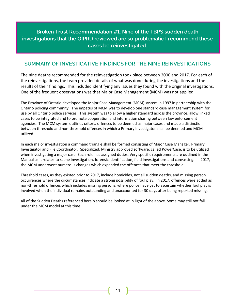# Broken Trust Recommendation #1: Nine of the TBPS sudden death investigations that the OIPRD reviewed are so problematic I recommend these cases be reinvestigated.

# SUMMARY OF INVESTIGATIVE FINDINGS FOR THE NINE REINVESTIGATIONS

The nine deaths recommended for the reinvestigation took place between 2000 and 2017. For each of the reinvestigations, the team provided details of what was done during the investigations and the results of their findings. This included identifying any issues they found with the original investigations. One of the frequent observations was that Major Case Management (MCM) was not applied.

The Province of Ontario developed the Major Case Management (MCM) system in 1997 in partnership with the Ontario policing community. The impetus of MCM was to develop one standard case management system for use by all Ontario police services. This system was to allow a higher standard across the province, allow linked cases to be integrated and to promote cooperation and information sharing between law enforcement agencies. The MCM system outlines criteria offences to be deemed as major cases and made a distinction between threshold and non-threshold offences in which a Primary Investigator shall be deemed and MCM utilized.

In each major investigation a command triangle shall be formed consisting of Major Case Manager, Primary Investigator and File Coordinator. Specialized, Ministry approved software, called PowerCase, is to be utilized when investigating a major case. Each role has assigned duties. Very specific requirements are outlined in the Manual as it relates to scene investigation, forensic identification, field investigations and canvassing. In 2017, the MCM underwent numerous changes which expanded the offences that meet the threshold.

Threshold cases, as they existed prior to 2017, include homicides, not all sudden deaths, and missing person occurrences where the circumstances indicate a strong possibility of foul play. In 2017, offences were added as non-threshold offences which includes missing persons, where police have yet to ascertain whether foul play is involved when the individual remains outstanding and unaccounted for 30 days after being reported missing.

All of the Sudden Deaths referenced herein should be looked at in light of the above. Some may still not fall under the MCM model at this time.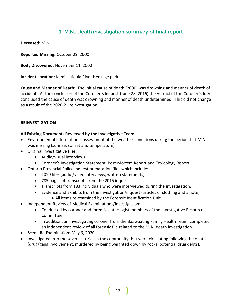# 1. M.N.: Death investigation summary of final report

**Deceased:** M.N.

**Reported Missing:** October 29, 2000

**Body Discovered:** November 11, 2000

**Incident Location:** Kaministiquia River Heritage park

**Cause and Manner of Death:** The initial cause of death (2000) was drowning and manner of death of accident. At the conclusion of the Coroner's Inquest (June 28, 2016) the Verdict of the Coroner's Jury concluded the cause of death was drowning and manner of death undetermined. This did not change as a result of the 2020-21 reinvestigation.

## **REINVESTIGATION**

## **All Existing Documents Reviewed by the Investigative Team:**

- Environmental Information assessment of the weather conditions during the period that M.N. was missing (sunrise, sunset and temperature)
- Original investigative files:
	- Audio/visual interviews
	- Coroner's Investigation Statement, Post-Mortem Report and Toxicology Report
- Ontario Provincial Police inquest preparation files which include:
	- 1050 files (audio/video interviews, written statements)
	- 785 pages of transcripts from the 2015 inquest
	- Transcripts from 183 individuals who were interviewed during the investigation.
	- Evidence and Exhibits from the investigation/inquest (articles of clothing and a note)
		- All items re-examined by the Forensic Identification Unit.
- Independent Review of Medical Examinations/investigation:
	- Conducted by coroner and forensic pathologist members of the Investigative Resource Committee
	- In addition, an investigating coroner from the Baawaating Family Health Team, completed an independent review of all forensic file related to the M.N. death investigation.
- Scene Re-Examination: May 6, 2020
- Investigated into the several stories in the community that were circulating following the death (drug/gang involvement, murdered by being weighted down by rocks; potential drug debts).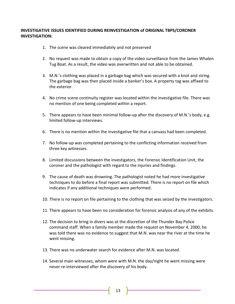# **INVESTIGATIVE ISSUES IDENTIFIED DURING REINVESTIGATION of ORIGINAL TBPS/CORONER INVESTIGATION:**

- 1. The scene was cleared immediately and not preserved
- 2. No request was made to obtain a copy of the video surveillance from the James Whalen Tug Boat. As a result, the video was overwritten and not able to be obtained.
- 3. M.N.'s clothing was placed in a garbage bag which was secured with a knot and string. The garbage bag was then placed inside a banker's box. A property tag was affixed to the exterior.
- 4. No crime scene continuity register was located within the investigative file. There was no mention of one being completed within a report.
- 5. There appears to have been minimal follow-up after the discovery of M.N.'s body, e.g. limited follow-up interviews.
- 6. There is no mention within the investigative file that a canvass had been completed.
- 7. No follow-up was completed pertaining to the conflicting information received from three key witnesses.
- 8. Limited discussions between the investigators, the Forensic Identification Unit, the coroner and the pathologist with regard to the injuries and findings.
- 9. The cause of death was drowning. The pathologist noted he had more investigative techniques to do before a final report was submitted. There is no report on file which indicates if any additional techniques were performed.
- 10. There is no report on file pertaining to the clothing that was seized by the investigators.
- 11. There appears to have been no consideration for forensic analysis of any of the exhibits.
- 12. The decision to bring in divers was at the discretion of the Thunder Bay Police command staff. When a family member made the request on November 4, 2000, he was told there was no evidence to suggest that M.N. was near the river at the time he went missing.
- 13. There was no underwater search for evidence after M.N. was located.
- 14. Several main witnesses, whom were with M.N. the day/night he went missing were never re-interviewed after the discovery of his body.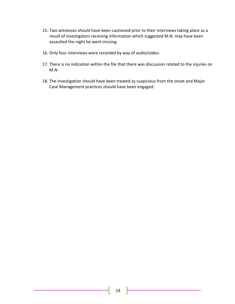- 15. Two witnesses should have been cautioned prior to their interviews taking place as a result of investigators receiving information which suggested M.N. may have been assaulted the night he went missing.
- 16. Only four interviews were recorded by way of audio/video.
- 17. There is no indication within the file that there was discussion related to the injuries on M.N.
- 18. The investigation should have been treated as suspicious from the onset and Major Case Management practices should have been engaged.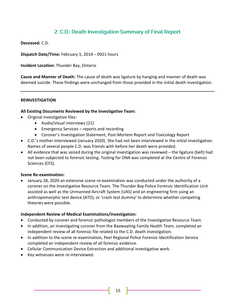# 2. C.D.: Death Investigation Summary of Final Report

**Deceased:** C.D.

**Dispatch Date/Time:** February 5, 2014 – 0921 hours

**Incident Location:** Thunder Bay, Ontario

**Cause and Manner of Death:** The cause of death was ligature by hanging and manner of death was deemed suicide. These findings were unchanged from those provided in the initial death investigation.

#### **REINVESTIGATION**

#### **All Existing Documents Reviewed by the Investigative Team:**

- Original investigative files:
	- Audio/visual interviews (21)
	- Emergency Services reports and recording
	- Coroner's Investigation Statement, Post-Mortem Report and Toxicology Report
- C.D.'s mother interviewed (January 2020). She had not been interviewed in the initial investigation. Names of several people C.D. was friends with before her death were provided.
- All evidence that was seized during the original investigation was reviewed the ligature (belt) had not been subjected to forensic testing. Testing for DNA was completed at the Centre of Forensic Sciences (CFS).

#### **Scene Re-examination:**

• January 28, 2020 an extensive scene re-examination was conducted under the authority of a coroner on the Investigative Resource Team. The Thunder Bay Police Forensic Identification Unit assisted as well as the Unmanned Aircraft System (UAS) and an engineering firm using an anthropomorphic test device (ATD), or 'crash test dummy' to determine whether competing theories were possible.

#### **Independent Review of Medical Examinations/investigation:**

- Conducted by coroner and forensic pathologist members of the Investigative Resource Team.
- In addition, an investigating coroner from the Baawaating Family Health Team, completed an independent review of all forensic file related to the C.D. death investigation.
- In addition to the scene re-examination, Peel Regional Police Forensic Identification Service completed an independent review of all forensic evidence.
- Cellular Communication Device Extraction and additional investigative work.
- Key witnesses were re-interviewed.

15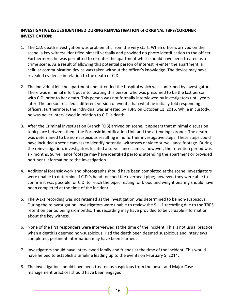# **INVESTIGATIVE ISSUES IDENTIFIED DURING REINVESTIGATION of ORIGINAL TBPS/CORONER INVESTIGATION:**

- 1. The C.D. death investigation was problematic from the very start. When officers arrived on the scene, a key witness identified himself verbally and provided no photo identification to the officer. Furthermore, he was permitted to re-enter the apartment which should have been treated as a crime scene. As a result of allowing this potential person of interest re-enter the apartment, a cellular communication device was taken without the officer's knowledge. The device may have revealed evidence in relation to the death of C.D.
- 2. The individual left the apartment and attended the hospital which was confirmed by investigators. There was minimal effort put into locating this person who was presumed to be the last person with C.D. prior to her death. This person was not formally interviewed by investigators until years later. The person recalled a different version of events than what he initially told responding officers. Furthermore, the individual was arrested by TBPS on October 11, 2016. While in custody, he was never interviewed in relation to C.D.'s death.
- 3. After the Criminal Investigation Branch (CIB) arrived on scene, it appears that minimal discussion took place between them, the Forensic Identification Unit and the attending coroner. The death was determined to be non-suspicious resulting in no further investigative steps. These steps could have included a scene canvass to identify potential witnesses or video surveillance footage. During the reinvestigation, investigators located a surveillance camera however, the retention period was six months. Surveillance footage may have identified persons attending the apartment or provided pertinent information to the investigation.
- 4. Additional forensic work and photographs should have been completed at the scene. Investigators were unable to determine if C.D.'s hand touched the overhead pipe; however, they were able to confirm it was possible for C.D. to reach the pipe. Testing for blood and weight bearing should have been completed at the time of the incident.
- 5. The 9-1-1 recording was not retained as the investigation was determined to be non-suspicious. During the reinvestigation, investigators were unable to review the 9-1-1 recording due to the TBPS retention period being six months. This recording may have provided to be valuable information about the key witness.
- 6. None of the first responders were interviewed at the time of the incident. This is not usual practice when a death is deemed non-suspicious. Had the death been deemed suspicious and interviews completed, pertinent information may have been learned.
- 7. Investigators should have interviewed family and friends at the time of the incident. This would have helped to establish a timeline leading up to the events on February 5, 2014.
- 8. The investigation should have been treated as suspicious from the onset and Major Case management practices should have been engaged.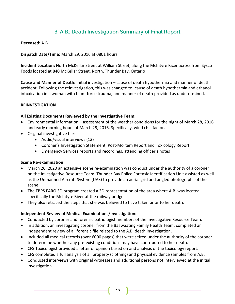# 3. A.B.: Death Investigation Summary of Final Report

# **Deceased:** A.B.

**Dispatch Date/Time:** March 29, 2016 at 0801 hours

**Incident Location:** North McKellar Street at William Street, along the McIntyre Ricer across from Sysco Foods located at 840 McKellar Street, North, Thunder Bay, Ontario

**Cause and Manner of Death:** Initial investigation – cause of death hypothermia and manner of death accident. Following the reinvestigation, this was changed to: cause of death hypothermia and ethanol intoxication in a woman with blunt force trauma; and manner of death provided as undetermined.

## **REINVESTIGATION**

## **All Existing Documents Reviewed by the Investigative Team:**

- Environmental Information assessment of the weather conditions for the night of March 28, 2016 and early morning hours of March 29, 2016. Specifically, wind chill factor.
- Original investigative files:
	- Audio/visual interviews (13)
	- Coroner's Investigation Statement, Post-Mortem Report and Toxicology Report
	- Emergency Services reports and recordings, attending officer's notes

## **Scene Re-examination:**

- March 26, 2020 an extensive scene re-examination was conduct under the authority of a coroner on the Investigative Resource Team. Thunder Bay Police Forensic Identification Unit assisted as well as the Unmanned Aircraft System (UAS) to provide an aerial grid and angled photographs of the scene.
- The TBPS FARO 3D program created a 3D representation of the area where A.B. was located, specifically the McIntyre River at the railway bridge.
- They also retraced the steps that she was believed to have taken prior to her death.

## **Independent Review of Medical Examinations/investigation:**

- Conducted by coroner and forensic pathologist members of the Investigative Resource Team.
- In addition, an investigating coroner from the Baawaating Family Health Team, completed an independent review of all forensic file related to the A.B. death investigation.
- Included all medical records (over 6000 pages) that were seized under the authority of the coroner to determine whether any pre-existing conditions may have contributed to her death.
- CFS Toxicologist provided a letter of opinion based on and analysis of the toxicology report.
- CFS completed a full analysis of all property (clothing) and physical evidence samples from A.B.
- Conducted interviews with original witnesses and additional persons not interviewed at the initial investigation.

17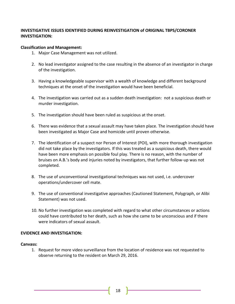# **INVESTIGATIVE ISSUES IDENTIFIED DURING REINVESTIGATION of ORIGINAL TBPS/CORONER INVESTIGATION:**

# **Classification and Management:**

- 1. Major Case Management was not utilized.
- 2. No lead investigator assigned to the case resulting in the absence of an investigator in charge of the investigation.
- 3. Having a knowledgeable supervisor with a wealth of knowledge and different background techniques at the onset of the investigation would have been beneficial.
- 4. The investigation was carried out as a sudden death investigation: not a suspicious death or murder investigation.
- 5. The investigation should have been ruled as suspicious at the onset.
- 6. There was evidence that a sexual assault may have taken place. The investigation should have been investigated as Major Case and homicide until proven otherwise.
- 7. The identification of a suspect nor Person of Interest (POI), with more thorough investigation did not take place by the investigators. If this was treated as a suspicious death, there would have been more emphasis on possible foul play. There is no reason, with the number of bruises on A.B.'s body and injuries noted by investigators, that further follow-up was not completed.
- 8. The use of unconventional investigational techniques was not used, i.e. undercover operations/undercover cell mate.
- 9. The use of conventional investigative approaches (Cautioned Statement, Polygraph, or Alibi Statement) was not used.
- 10. No further investigation was completed with regard to what other circumstances or actions could have contributed to her death, such as how she came to be unconscious and if there were indicators of sexual assault.

## **EVIDENCE AND INVESTIGATION:**

## **Canvass:**

1. Request for more video surveillance from the location of residence was not requested to observe returning to the resident on March 29, 2016.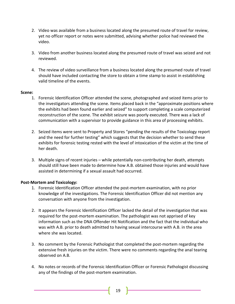- 2. Video was available from a business located along the presumed route of travel for review, yet no officer report or notes were submitted, advising whether police had reviewed the video.
- 3. Video from another business located along the presumed route of travel was seized and not reviewed.
- 4. The review of video surveillance from a business located along the presumed route of travel should have included contacting the store to obtain a time stamp to assist in establishing valid timeline of the events.

# **Scene:**

- 1. Forensic Identification Officer attended the scene, photographed and seized items prior to the investigators attending the scene. Items placed back in the "approximate positions where the exhibits had been found earlier and seized" to support completing a scale computerized reconstruction of the scene. The exhibit seizure was poorly executed. There was a lack of communication with a supervisor to provide guidance in this area of processing exhibits.
- 2. Seized items were sent to Property and Stores "pending the results of the Toxicology report and the need for further testing" which suggests that the decision whether to send these exhibits for forensic testing rested with the level of intoxication of the victim at the time of her death.
- 3. Multiple signs of recent injuries while potentially non-contributing her death, attempts should still have been made to determine how A.B. obtained those injuries and would have assisted in determining if a sexual assault had occurred.

# **Post-Mortem and Toxicology:**

- 1. Forensic Identification Officer attended the post-mortem examination, with no prior knowledge of the investigations. The Forensic Identification Officer did not mention any conversation with anyone from the investigation.
- 2. It appears the Forensic Identification Officer lacked the detail of the investigation that was required for the post-mortem examination. The pathologist was not apprised of key information such as the DNA Offender Hit Notification and the fact that the individual who was with A.B. prior to death admitted to having sexual intercourse with A.B. in the area where she was located.
- 3. No comment by the Forensic Pathologist that completed the post-mortem regarding the extensive fresh injuries on the victim. There were no comments regarding the anal tearing observed on A.B.
- 4. No notes or records of the Forensic Identification Officer or Forensic Pathologist discussing any of the findings of the post-mortem examination.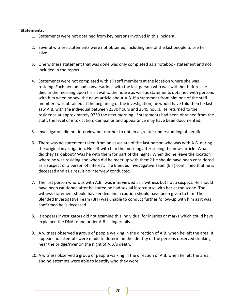#### **Statements:**

- 1. Statements were not obtained from key persons involved in this incident.
- 2. Several witness statements were not obtained, including one of the last people to see her alive.
- 3. One witness statement that was done was only completed as a notebook statement and not included in the report.
- 4. Statements were not completed with all staff members at the location where she was residing. Each person had conversations with the last person who was with her before she died in the morning upon his arrival to the house as well as statements obtained with persons with him when he saw the news article about A.B. If a statement from him one of the staff members was obtained at the beginning of the investigation, he would have told then he last saw A.B. with the individual between 2330 hours and 2345 hours. He returned to the residence at approximately 0730 the next morning. If statements had been obtained from the staff, the level of intoxication, demeanor and appearance may have been documented.
- 5. Investigators did not interview her mother to obtain a greater understanding of her life.
- 6. There was no statement taken from an associate of the last person who was with A.B. during the original investigation. He left with him the morning after seeing the news article. What did they talk about? Was he with them for part of the night? When did he leave the location where he was residing and when did he meet up with them? He should have been considered as a suspect or a person of interest. The Blended Investigative Team (BIT) confirmed that he is deceased and as a result no interview conducted.
- 7. The last person who was with A.B. was interviewed as a witness but not a suspect. He should have been cautioned after he stated he had sexual intercourse with her at the scene. The witness statement should have ended and a caution should have been given to him. The Blended Investigative Team (BIT) was unable to conduct further follow-up with him as it was confirmed he is deceased.
- 8. It appears investigators did not examine this individual for injuries or marks which could have explained the DNA found under A.B.'s fingernails.
- 9. A witness observed a group of people walking in the direction of A.B. when he left the area. It appears no attempts were made to determine the identity of the persons observed drinking near the bridge/river on the night of A.B.'s death.
- 10. A witness observed a group of people walking in the direction of A.B. when he left the area, and no attempts were able to identify who they were.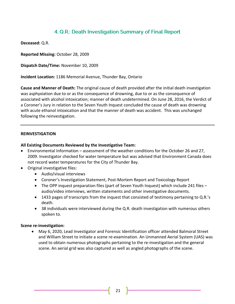# 4. Q.R.: Death Investigation Summary of Final Report

**Deceased:** Q.R.

**Reported Missing:** October 28, 2009

**Dispatch Date/Time:** November 10, 2009

**Incident Location:** 1186 Memorial Avenue, Thunder Bay, Ontario

**Cause and Manner of Death:** The original cause of death provided after the initial death investigation was asphyxiation due to or as the consequence of drowning, due to or as the consequence of associated with alcohol intoxication; manner of death undetermined. On June 28, 2016, the Verdict of a Coroner's Jury in relation to the Seven Youth Inquest concluded the cause of death was drowning with acute ethanol intoxication and that the manner of death was accident. This was unchanged following the reinvestigation.

#### **REINVESTIGATION**

#### **All Existing Documents Reviewed by the Investigative Team:**

- Environmental Information assessment of the weather conditions for the October 26 and 27, 2009. Investigator checked for water temperature but was advised that Environment Canada does not record water temperatures for the City of Thunder Bay.
- Original investigative files:
	- Audio/visual interviews
	- Coroner's Investigation Statement, Post-Mortem Report and Toxicology Report
	- The OPP inquest preparation files (part of Seven Youth Inquest) which include 241 files audio/video interviews, written statements and other investigative documents.
	- 1433 pages of transcripts from the inquest that consisted of testimony pertaining to Q.R.'s death.
	- 38 individuals were interviewed during the Q.R. death investigation with numerous others spoken to.

#### **Scene re-investigation:**

• May 6, 2020, Lead Investigator and Forensic Identification officer attended Balmoral Street and William Street to initiate a scene re-examination. An Unmanned Aerial System (UAS) was used to obtain numerous photographs pertaining to the re-investigation and the general scene. An aerial grid was also captured as well as angled photographs of the scene.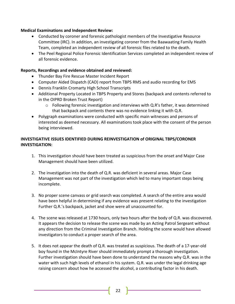# **Medical Examinations and Independent Review:**

- Conducted by coroner and forensic pathologist members of the Investigative Resource Committee (IRC). In addition, an investigating coroner from the Baawaating Family Health Team, completed an independent review of all forensic files related to the death.
- The Peel Regional Police Forensic Identification Services completed an independent review of all forensic evidence.

# **Reports, Recordings and evidence obtained and reviewed:**

- Thunder Bay Fire Rescue Master Incident Report
- Computer Aided Dispatch (CAD) report from TBPS RMS and audio recording for EMS
- Dennis Franklin Cromarty High School Transcripts
- Additional Property Located in TBPS Property and Stores (backpack and contents referred to in the OIPRD Broken Trust Report)
	- $\circ$  Following forensic investigation and interviews with Q.R's father, it was determined that backpack and contents there was no evidence linking it with Q.R.
- Polygraph examinations were conducted with specific main witnesses and persons of interested as deemed necessary. All examinations took place with the consent of the person being interviewed.

# **INVESTIGATIVE ISSUES IDENTIFIED DURING REINVESTIGATION of ORIGINAL TBPS/CORONER INVESTIGATION:**

- 1. This investigation should have been treated as suspicious from the onset and Major Case Management should have been utilized.
- 2. The investigation into the death of Q.R. was deficient in several areas. Major Case Management was not part of the investigation which led to many important steps being incomplete.
- 3. No proper scene canvass or grid search was completed. A search of the entire area would have been helpful in determining if any evidence was present relating to the investigation Further Q.R.'s backpack, jacket and shoe were all unaccounted for.
- 4. The scene was released at 1730 hours, only two hours after the body of Q.R. was discovered. It appears the decision to release the scene was made by an Acting Patrol Sergeant without any direction from the Criminal Investigation Branch. Holding the scene would have allowed investigators to conduct a proper search of the area.
- 5. It does not appear the death of Q.R. was treated as suspicious. The death of a 17-year-old boy found in the McIntyre River should immediately prompt a thorough investigation. Further investigation should have been done to understand the reasons why Q.R. was in the water with such high levels of ethanol in his system. Q.R. was under the legal drinking age raising concern about how he accessed the alcohol, a contributing factor in his death.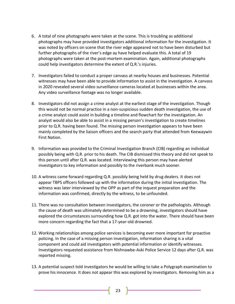- 6. A total of nine photographs were taken at the scene. This is troubling as additional photographs may have provided investigators additional information for the investigation. It was noted by officers on scene that the river edge appeared not to have been disturbed but further photographs of the river's edge ay have helped evaluate this. A total of 19 photographs were taken at the post-mortem examination. Again, additional photographs could help investigators determine the extent of Q.R.'s injuries.
- 7. Investigators failed to conduct a proper canvass at nearby houses and businesses. Potential witnesses may have been able to provide information to assist in the investigation. A canvass in 2020 revealed several video surveillance cameras located at businesses within the area. Any video surveillance footage was no longer available.
- 8. Investigators did not assign a crime analyst at the earliest stage of the investigation. Though this would not be normal practice in a non-suspicious sudden death investigation, the use of a crime analyst could assist in building a timeline and flowchart for the investigation. An analyst would also be able to assist in a missing person's investigation to create timelines prior to Q.R. having been found. The missing person investigation appears to have been mainly completed by the liaison officers and the search party that attended from Keewaywin First Nation.
- 9. Information was provided to the Criminal Investigation Branch (CIB) regarding an individual possibly being with Q.R. prior to his death. The CIB dismissed this theory and did not speak to this person until after Q.R. was located. Interviewing this person may have alerted investigators to key information and possibly to the riverbank much sooner.
- 10. A witness came forward regarding Q.R. possibly being held by drug dealers. It does not appear TBPS officers followed up with the information during the initial investigation. The witness was later interviewed by the OPP as part of the inquest preparation and the information was confirmed, directly by the witness, to be unfounded.
- 11. There was no consultation between investigators, the coroner or the pathologists. Although the cause of death was ultimately determined to be a drowning, investigators should have explored the circumstances surrounding how Q.R. got into the water. There should have been more concern regarding the fact that a 17-year-old drowned.
- 12. Working relationships among police services is becoming ever more important for proactive policing. In the case of a missing person investigation, information sharing is a vital component and could aid investigators with potential information or identify witnesses. Investigators requested assistance from Nishnawbe-Aski Police Service 12 days after Q.R. was reported missing.
- 13. A potential suspect told investigators he would be willing to take a Polygraph examination to prove his innocence. It does not appear this was explored by investigators. Removing him as a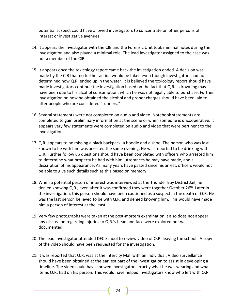potential suspect could have allowed investigators to concentrate on other persons of interest or investigative avenues.

- 14. It appears the investigator with the CIB and the Forensic Unit took minimal notes during the investigation and also played a minimal role. The lead investigator assigned to the case was not a member of the CIB.
- 15. It appears once the toxicology report came back the investigation ended. A decision was made by the CIB that no further action would be taken even though investigators had not determined how Q.R. ended up in the water. It is believed the toxicology report should have made investigators continue the investigation based on the fact that Q.R.'s drowning may have been due to his alcohol consumption, which he was not legally able to purchase. Further investigation on how he obtained the alcohol and proper charges should have been laid to after people who are considered "runners."
- 16. Several statements were not completed on audio and video. Notebook statements are completed to gain preliminary information at the scene or when someone is uncooperative. It appears very few statements were completed on audio and video that were pertinent to the investigation.
- 17. Q.R. appears to be missing a black backpack, a hoodie and a shoe. The person who was last known to be with him was arrested the same evening. He was reported to be drinking with Q.R. Further follow up questions should have been completed with officers who arrested him to determine what property he had with him, utterances he may have made, and a description of his appearance. As many years have passed since his arrest, officers would not be able to give such details such as this based on memory.
- 18. When a potential person of interest was interviewed at the Thunder Bay District Jail, he denied knowing Q.R., even after it was confirmed they were together October 26<sup>th</sup>. Later in the investigation, this person should have been cautioned as a suspect in the death of Q.R. He was the last person believed to be with Q.R. and denied knowing him. This would have made him a person of interest at the least.
- 19. Very few photographs were taken at the post-mortem examination It also does not appear any discussion regarding injuries to Q.R.'s head and face were explored nor was it documented.
- 20. The lead investigator attended DFC School to review video of Q.R. leaving the school. A copy of the video should have been requested for the investigation.
- 21. It was reported that Q.R. was at the Intercity Mall with an individual. Video surveillance should have been obtained at the earliest part of the investigation to assist in developing a timeline. The video could have showed investigators exactly what he was wearing and what items Q.R. had on his person. This would have helped investigators know who left with Q.R.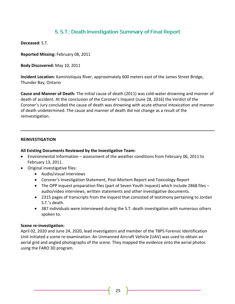# 5. S.T.: Death Investigation Summary of Final Report

**Deceased:** S.T.

**Reported Missing:** February 08, 2011

**Body Discovered:** May 10, 2011

**Incident Location:** Kaministiquia River, approximately 600 meters east of the James Street Bridge, Thunder Bay, Ontario

**Cause and Manner of Death:** The initial cause of death (2011) was cold-water drowning and manner of death of accident. At the conclusion of the Coroner's Inquest (June 28, 2016) the Verdict of the Coroner's Jury concluded the cause of death was drowning with acute ethanol intoxication and manner of death undetermined. The cause and manner of death did not change as a result of the reinvestigation.

## **REINVESTIGATION**

## **All Existing Documents Reviewed by the Investigative Team:**

- Environmental Information assessment of the weather conditions from February 06, 2011 to February 13, 2011.
- Original investigative files:
	- Audio/visual interviews
	- Coroner's Investigation Statement, Post-Mortem Report and Toxicology Report
	- The OPP inquest preparation files (part of Seven Youth Inquest) which include 2868 files audio/video interviews, written statements and other investigative documents.
	- 2315 pages of transcripts from the inquest that consisted of testimony pertaining to Jordan S.T.'s death.
	- 387 individuals were interviewed during the S.T. death investigation with numerous others spoken to.

## **Scene re-investigation:**

April 02, 2020 and June 24, 2020, lead investigators and member of the TBPS Forensic Identification Unit initiated a scene re-examination. An Unmanned Aircraft Vehicle (UAV) was used to obtain an aerial grid and angled photographs of the scene. They mapped the evidence onto the aerial photos using the FARO 3D program.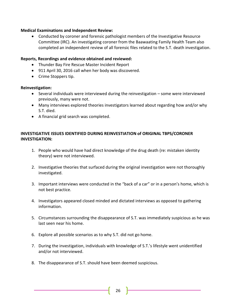# **Medical Examinations and Independent Review:**

• Conducted by coroner and forensic pathologist members of the Investigative Resource Committee (IRC). An investigating coroner from the Baawaating Family Health Team also completed an independent review of all forensic files related to the S.T. death investigation.

# **Reports, Recordings and evidence obtained and reviewed:**

- Thunder Bay Fire Rescue Master Incident Report
- 911 April 30, 2016 call when her body was discovered.
- Crime Stoppers tip.

## **Reinvestigation:**

- Several individuals were interviewed during the reinvestigation some were interviewed previously, many were not.
- Many interviews explored theories investigators learned about regarding how and/or why S.T. died.
- A financial grid search was completed.

# **INVESTIGATIVE ISSUES IDENTIFIED DURING REINVESTIATION of ORIGINAL TBPS/CORONER INVESTIGATION:**

- 1. People who would have had direct knowledge of the drug death (re: mistaken identity theory) were not interviewed.
- 2. Investigative theories that surfaced during the original investigation were not thoroughly investigated.
- 3. Important interviews were conducted in the "back of a car" or in a person's home, which is not best practice.
- 4. Investigators appeared closed minded and dictated interviews as opposed to gathering information.
- 5. Circumstances surrounding the disappearance of S.T. was immediately suspicious as he was last seen near his home.
- 6. Explore all possible scenarios as to why S.T. did not go home.
- 7. During the investigation, individuals with knowledge of S.T.'s lifestyle went unidentified and/or not interviewed.
- 8. The disappearance of S.T. should have been deemed suspicious.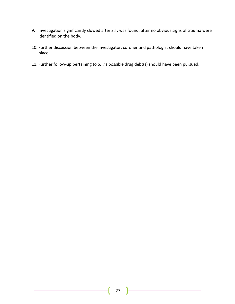- 9. Investigation significantly slowed after S.T. was found, after no obvious signs of trauma were identified on the body.
- 10. Further discussion between the investigator, coroner and pathologist should have taken place.
- 11. Further follow-up pertaining to S.T.'s possible drug debt(s) should have been pursued.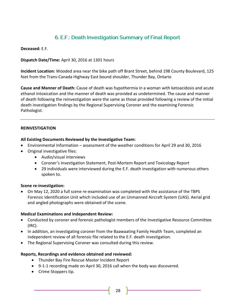# 6. E.F.: Death Investigation Summary of Final Report

**Deceased:** E.F.

**Dispatch Date/Time:** April 30, 2016 at 1301 hours

**Incident Location:** Wooded area near the bike path off Brant Street, behind 198 County Boulevard, 125 feet from the Trans-Canada Highway East bound shoulder, Thunder Bay, Ontario

**Cause and Manner of Death:** Cause of death was hypothermia in a woman with ketoacidosis and acute ethanol intoxication and the manner of death was provided as undetermined. The cause and manner of death following the reinvestigation were the same as those provided following a review of the initial death investigation findings by the Regional Supervising Coroner and the examining Forensic Pathologist.

# **REINVESTIGATION**

## **All Existing Documents Reviewed by the Investigative Team:**

- Environmental Information assessment of the weather conditions for April 29 and 30, 2016
- Original investigative files:
	- Audio/visual interviews
	- Coroner's Investigation Statement, Post-Mortem Report and Toxicology Report
	- 29 individuals were interviewed during the E.F. death investigation with numerous others spoken to.

## **Scene re-investigation:**

• On May 12, 2020 a full scene re-examination was completed with the assistance of the TBPS Forensic Identification Unit which included use of an Unmanned Aircraft System (UAS). Aerial grid and angled photographs were obtained of the scene.

## **Medical Examinations and Independent Review:**

- Conducted by coroner and forensic pathologist members of the Investigative Resource Committee (IRC).
- In addition, an investigating coroner from the Baawaating Family Health Team, completed an independent review of all forensic file related to the E.F. death investigation.
- The Regional Supervising Coroner was consulted during this review.

## **Reports, Recordings and evidence obtained and reviewed:**

- Thunder Bay Fire Rescue Master Incident Report
- 9-1-1 recording made on April 30, 2016 call when the body was discovered.
- Crime Stoppers tip.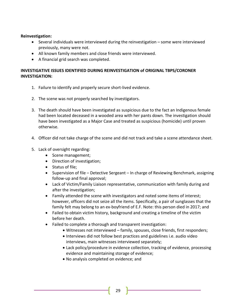# **Reinvestigation:**

- Several individuals were interviewed during the reinvestigation some were interviewed previously, many were not.
- All known family members and close friends were interviewed.
- A financial grid search was completed.

# **INVESTIGATIVE ISSUES IDENTIFIED DURING REINVESTIGATION of ORIGINAL TBPS/CORONER INVESTIGATION:**

- 1. Failure to identify and properly secure short-lived evidence.
- 2. The scene was not properly searched by investigators.
- 3. The death should have been investigated as suspicious due to the fact an Indigenous female had been located deceased in a wooded area with her pants down. The investigation should have been investigated as a Major Case and treated as suspicious (homicide) until proven otherwise.
- 4. Officer did not take charge of the scene and did not track and take a scene attendance sheet.
- 5. Lack of oversight regarding:
	- Scene management;
	- Direction of investigation;
	- Status of file;
	- Supervision of file Detective Sergeant In charge of Reviewing Benchmark, assigning follow-up and final approval;
	- Lack of Victim/Family Liaison representative, communication with family during and after the investigation;
	- Family attended the scene with investigators and noted some items of interest; however, officers did not seize all the items. Specifically, a pair of sunglasses that the family felt may belong to an ex-boyfriend of E.F. Note: this person died in 2017; and
	- Failed to obtain victim history, background and creating a timeline of the victim before her death.
	- Failed to complete a thorough and transparent investigation:
		- Witnesses not interviewed family, spouses, close friends, first responders;
		- Interviews did not follow best practices and guidelines i.e. audio video interviews, main witnesses interviewed separately;
		- Lack policy/procedure in evidence collection, tracking of evidence, processing evidence and maintaining storage of evidence;
		- No analysis completed on evidence; and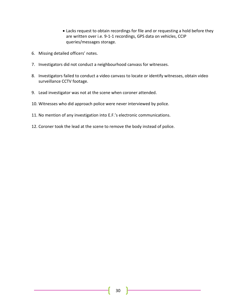- Lacks request to obtain recordings for file and or requesting a hold before they are written over i.e. 9-1-1 recordings, GPS data on vehicles, CCIP queries/messages storage.
- 6. Missing detailed officers' notes.
- 7. Investigators did not conduct a neighbourhood canvass for witnesses.
- 8. Investigators failed to conduct a video canvass to locate or identify witnesses, obtain video surveillance CCTV footage.
- 9. Lead investigator was not at the scene when coroner attended.
- 10. Witnesses who did approach police were never interviewed by police.
- 11. No mention of any investigation into E.F.'s electronic communications.
- 12. Coroner took the lead at the scene to remove the body instead of police.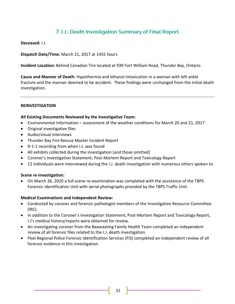# 7. I.J.: Death Investigation Summary of Final Report

**Deceased:** I.J.

**Dispatch Date/Time:** March 21, 2017 at 1455 hours

**Incident Location:** Behind Canadian Tire located at 939 Fort William Road, Thunder Bay, Ontario

**Cause and Manner of Death:** Hypothermia and ethanol intoxication in a woman with left ankle fracture and the manner deemed to be accident. These findings were unchanged from the initial death investigation.

#### **REINVESTIGATION**

#### **All Existing Documents Reviewed by the Investigative Team:**

- Environmental Information assessment of the weather conditions for March 20 and 21, 2017
- Original investigative files
- Audio/visual interviews
- Thunder Bay Fire Rescue Master Incident Report
- 9-1-1 recording from when I.J. was found
- All exhibits collected during the investigation (and those omitted)
- Coroner's Investigation Statement, Post-Mortem Report and Toxicology Report
- 12 individuals were interviewed during the I.J. death investigation with numerous others spoken to.

#### **Scene re-investigation:**

• On March 26, 2020 a full scene re-examination was completed with the assistance of the TBPS Forensic Identification Unit with aerial photographs provided by the TBPS Traffic Unit.

#### **Medical Examinations and Independent Review:**

- Conducted by coroner and forensic pathologist members of the Investigative Resource Committee (IRC).
- In addition to the Coroner's Investigation Statement, Post-Mortem Report and Toxicology Report, I.J's medical history/reports were obtained for review.
- An investigating coroner from the Baawaating Family Health Team completed an independent review of all forensic files related to the I.J. death investigation.
- Peel Regional Police Forensic Identification Services (FIS) completed an independent review of all forensic evidence in this investigation.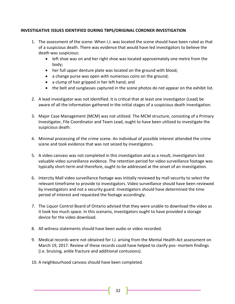# **INVESTIGATIVE ISSUES IDENTIFIED DURING TBPS/ORIGINAL CORONER INVESTIGATION**

- 1. The assessment of the scene: When I.J. was located the scene should have been ruled as that of a suspicious death. There was evidence that would have led investigators to believe the death was suspicious:
	- left shoe was on and her right shoe was located approximately one metre from the body;
	- her full upper denture plate was located on the ground with blood;
	- a change purse was open with numerous coins on the ground;
	- a clump of hair gripped in her left hand; and
	- the belt and sunglasses captured in the scene photos do not appear on the exhibit list.
- 2. A lead investigator was not identified. It is critical that at least one investigator (Lead) be aware of all the information gathered in the initial stages of a suspicious death investigation.
- 3. Major Case Management (MCM) was not utilized. The MCM structure, consisting of a Primary Investigator, File Coordinator and Team Lead, ought to have been utilized to investigate the suspicious death.
- 4. Minimal processing of the crime scene. An individual of possible interest attended the crime scene and took evidence that was not seized by investigators.
- 5. A video canvass was not completed in this investigation and as a result, investigators lost valuable video surveillance evidence. The retention period for video surveillance footage was typically short-term and therefore, ought to be addressed at the onset of an investigation.
- 6. Intercity Mall video surveillance footage was initially reviewed by mall security to select the relevant timeframe to provide to investigators. Video surveillance should have been reviewed by investigators and not a security guard. Investigators should have determined the time period of interest and requested the footage accordingly.
- 7. The Liquor Control Board of Ontario advised that they were unable to download the video as it took too much space. In this scenario, investigators ought to have provided a storage device for the video download.
- 8. All witness statements should have been audio or video recorded.
- 9. Medical records were not obtained for I.J. arising from the Mental Health Act assessment on March 19, 2017. Review of these records could have helped to clarify pos- mortem findings (i.e. bruising, ankle fracture and additional contusions).
- 10. A neighbourhood canvass should have been completed.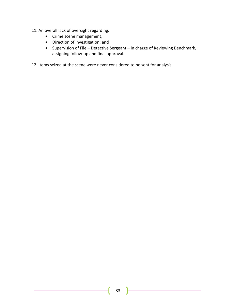- 11. An overall lack of oversight regarding:
	- Crime scene management;
	- Direction of investigation; and
	- Supervision of File Detective Sergeant in charge of Reviewing Benchmark, assigning follow-up and final approval.

12. Items seized at the scene were never considered to be sent for analysis.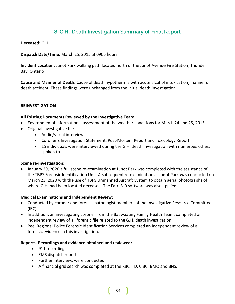# 8. G.H.: Death Investigation Summary of Final Report

**Deceased:** G.H.

**Dispatch Date/Time:** March 25, 2015 at 0905 hours

**Incident Location:** Junot Park walking path located north of the Junot Avenue Fire Station, Thunder Bay, Ontario

**Cause and Manner of Death:** Cause of death hypothermia with acute alcohol intoxication; manner of death accident. These findings were unchanged from the initial death investigation.

#### **REINVESTIGATION**

#### **All Existing Documents Reviewed by the Investigative Team:**

- Environmental Information assessment of the weather conditions for March 24 and 25, 2015
- Original investigative files:
	- Audio/visual interviews
	- Coroner's Investigation Statement, Post-Mortem Report and Toxicology Report
	- 15 individuals were interviewed during the G.H. death investigation with numerous others spoken to.

#### **Scene re-investigation:**

• January 29, 2020 a full scene re-examination at Junot Park was completed with the assistance of the TBPS Forensic Identification Unit. A subsequent re-examination at Junot Park was conducted on March 23, 2020 with the use of TBPS Unmanned Aircraft System to obtain aerial photographs of where G.H. had been located deceased. The Faro 3-D software was also applied.

#### **Medical Examinations and Independent Review:**

- Conducted by coroner and forensic pathologist members of the Investigative Resource Committee (IRC).
- In addition, an investigating coroner from the Baawaating Family Health Team, completed an independent review of all forensic file related to the G.H. death investigation.
- Peel Regional Police Forensic Identification Services completed an independent review of all forensic evidence in this investigation.

#### **Reports, Recordings and evidence obtained and reviewed:**

- 911 recordings
- EMS dispatch report
- Further interviews were conducted.
- A financial grid search was completed at the RBC, TD, CIBC, BMO and BNS.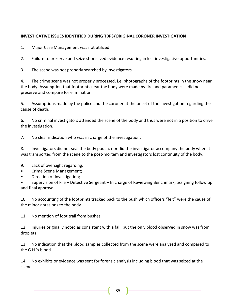# **INVESTIGATIVE ISSUES IDENTIFIED DURING TBPS/ORIGINAL CORONER INVESTIGATION**

1. Major Case Management was not utilized

2. Failure to preserve and seize short-lived evidence resulting in lost investigative opportunities.

3. The scene was not properly searched by investigators.

4. The crime scene was not properly processed, i.e. photographs of the footprints in the snow near the body. Assumption that footprints near the body were made by fire and paramedics – did not preserve and compare for elimination.

5. Assumptions made by the police and the coroner at the onset of the investigation regarding the cause of death.

6. No criminal investigators attended the scene of the body and thus were not in a position to drive the investigation.

7. No clear indication who was in charge of the investigation.

8. Investigators did not seal the body pouch, nor did the investigator accompany the body when it was transported from the scene to the post-mortem and investigators lost continuity of the body.

- 9. Lack of oversight regarding:
- Crime Scene Management;
- Direction of Investigation;

• Supervision of File – Detective Sergeant – In charge of Reviewing Benchmark, assigning follow up and final approval.

10. No accounting of the footprints tracked back to the bush which officers "felt" were the cause of the minor abrasions to the body.

11. No mention of foot trail from bushes.

12. Injuries originally noted as consistent with a fall, but the only blood observed in snow was from droplets.

13. No indication that the blood samples collected from the scene were analyzed and compared to the G.H.'s blood.

14. No exhibits or evidence was sent for forensic analysis including blood that was seized at the scene.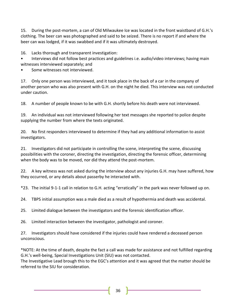15. During the post-mortem, a can of Old Milwaukee Ice was located in the front waistband of G.H.'s clothing. The beer can was photographed and said to be seized. There is no report if and where the beer can was lodged, if it was swabbed and if it was ultimately destroyed.

16. Lacks thorough and transparent investigation:

• Interviews did not follow best practices and guidelines i.e. audio/video interviews; having main witnesses interviewed separately; and

Some witnesses not interviewed.

17. Only one person was interviewed, and it took place in the back of a car in the company of another person who was also present with G.H. on the night he died. This interview was not conducted under caution.

18. A number of people known to be with G.H. shortly before his death were not interviewed.

19. An individual was not interviewed following her text messages she reported to police despite supplying the number from where the texts originated.

20. No first responders interviewed to determine if they had any additional information to assist investigators.

21. Investigators did not participate in controlling the scene, interpreting the scene, discussing possibilities with the coroner, directing the investigation, directing the forensic officer, determining when the body was to be moved, nor did they attend the post-mortem.

22. A key witness was not asked during the interview about any injuries G.H. may have suffered, how they occurred, or any details about passerby he interacted with.

\*23. The initial 9-1-1 call in relation to G.H. acting "erratically" in the park was never followed up on.

24. TBPS initial assumption was a male died as a result of hypothermia and death was accidental.

25. Limited dialogue between the investigators and the forensic identification officer.

26. Limited interaction between the investigator, pathologist and coroner.

27. Investigators should have considered if the injuries could have rendered a deceased person unconscious.

\*NOTE: At the time of death, despite the fact a call was made for assistance and not fulfilled regarding G.H.'s well-being, Special Investigations Unit (SIU) was not contacted.

The Investigative Lead brough this to the EGC's attention and it was agreed that the matter should be referred to the SIU for consideration.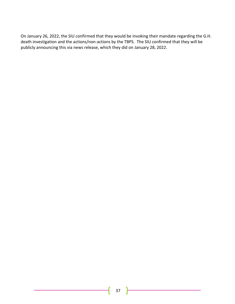On January 26, 2022, the SIU confirmed that they would be invoking their mandate regarding the G.H. death investigation and the actions/non-actions by the TBPS. The SIU confirmed that they will be publicly announcing this via news release, which they did on January 28, 2022.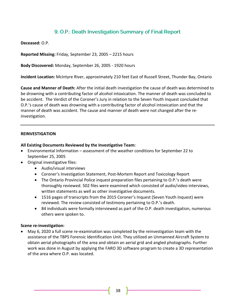# 9. O.P.: Death Investigation Summary of Final Report

**Deceased:** O.P.

**Reported Missing:** Friday, September 23, 2005 – 2215 hours

**Body Discovered:** Monday, September 26, 2005 - 1920 hours

**Incident Location:** McIntyre River, approximately 210 feet East of Russell Street, Thunder Bay, Ontario

**Cause and Manner of Death:** After the initial death investigation the cause of death was determined to be drowning with a contributing factor of alcohol intoxication. The manner of death was concluded to be accident. The Verdict of the Coroner's Jury in relation to the Seven Youth Inquest concluded that O.P.'s cause of death was drowning with a contributing factor of alcohol intoxication and that the manner of death was accident. The cause and manner of death were not changed after the reinvestigation.

#### **REINVESTIGATION**

#### **All Existing Documents Reviewed by the Investigative Team:**

- Environmental Information assessment of the weather conditions for September 22 to September 25, 2005
- Original investigative files:
	- Audio/visual interviews
	- Coroner's Investigation Statement, Post-Mortem Report and Toxicology Report
	- The Ontario Provincial Police inquest preparation files pertaining to O.P.'s death were thoroughly reviewed. 502 files were examined which consisted of audio/video interviews, written statements as well as other investigative documents.
	- 1516 pages of transcripts from the 2015 Coroner's Inquest (Seven Youth Inquest) were reviewed. The review consisted of testimony pertaining to O.P.'s death.
	- 84 individuals were formally interviewed as part of the O.P. death investigation, numerous others were spoken to.

#### **Scene re-investigation:**

• May 6, 2020 a full scene re-examination was completed by the reinvestigation team with the assistance of the TBPS Forensic Identification Unit. They utilized an Unmanned Aircraft System to obtain aerial photographs of the area and obtain an aerial grid and angled photographs. Further work was done in August by applying the FARO 3D software program to create a 3D representation of the area where O.P. was located.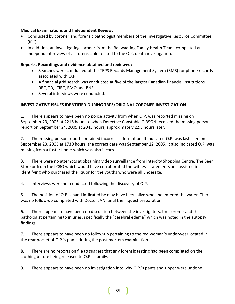# **Medical Examinations and Independent Review:**

- Conducted by coroner and forensic pathologist members of the Investigative Resource Committee (IRC).
- In addition, an investigating coroner from the Baawaating Family Health Team, completed an independent review of all forensic file related to the O.P. death investigation.

# **Reports, Recordings and evidence obtained and reviewed:**

- Searches were conducted of the TBPS Records Management System (RMS) for phone records associated with O.P.
- A financial grid search was conducted at five of the largest Canadian financial institutions RBC, TD, CIBC, BMO and BNS.
- Several interviews were conducted.

# **INVESTIGATIVE ISSUES IDENTIFIED DURING TBPS/ORIGINAL CORONER INVESTIGATION**

1. There appears to have been no police activity from when O.P. was reported missing on September 23, 2005 at 2215 hours to when Detective Constable GIBSON received the missing person report on September 24, 2005 at 2045 hours, approximately 22.5 hours later.

2. The missing person report contained incorrect information. It indicated O.P. was last seen on September 23, 2005 at 1730 hours, the correct date was September 22, 2005. It also indicated O.P. was missing from a foster home which was also incorrect.

3. There were no attempts at obtaining video surveillance from Intercity Shopping Centre, The Beer Store or from the LCBO which would have corroborated the witness statements and assisted in identifying who purchased the liquor for the youths who were all underage.

4. Interviews were not conducted following the discovery of O.P.

5. The position of O.P.'s hand indicated he may have been alive when he entered the water. There was no follow-up completed with Doctor JANI until the inquest preparation.

6. There appears to have been no discussion between the investigators, the coroner and the pathologist pertaining to injuries, specifically the "cerebral edema" which was noted in the autopsy findings.

7. There appears to have been no follow-up pertaining to the red woman's underwear located in the rear pocket of O.P.'s pants during the post-mortem examination.

8. There are no reports on file to suggest that any forensic testing had been completed on the clothing before being released to O.P.'s family.

9. There appears to have been no investigation into why O.P.'s pants and zipper were undone.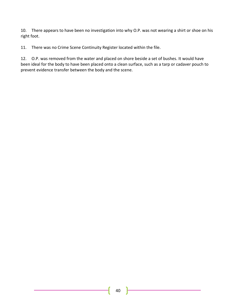10. There appears to have been no investigation into why O.P. was not wearing a shirt or shoe on his right foot.

11. There was no Crime Scene Continuity Register located within the file.

12. O.P. was removed from the water and placed on shore beside a set of bushes. It would have been ideal for the body to have been placed onto a clean surface, such as a tarp or cadaver pouch to prevent evidence transfer between the body and the scene.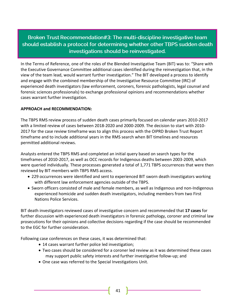Broken Trust Recommendation#3: The multi-discipline investigative team should establish a protocol for determining whether other TBPS sudden death investigations should be reinvestigated.

In the Terms of Reference, one of the roles of the Blended Investigative Team (BIT) was to: "Share with the Executive Governance Committee additional cases identified during the reinvestigation that, in the view of the team lead, would warrant further investigation." The BIT developed a process to identify and engage with the combined membership of the Investigative Resource Committee (IRC) of experienced death investigators (law enforcement, coroners, forensic pathologists, legal counsel and forensic sciences professionals) to exchange professional opinions and recommendations whether cases warrant further investigation.

# **APPROACH and RECOMMENDATION:**

The TBPS RMS review process of sudden death cases primarily focused on calendar years 2010-2017 with a limited review of cases between 2018-2020 and 2000-2009. The decision to start with 2010- 2017 for the case review timeframe was to align this process with the OIPRD Broken Trust Report timeframe and to include additional years in the RMS search when BIT timelines and resources permitted additional reviews.

Analysts entered the TBPS RMS and completed an initial query based on search types for the timeframes of 2010-2017, as well as OCC records for Indigenous deaths between 2003-2009, which were queried individually. These processes generated a total of 1,771 TBPS occurrences that were then reviewed by BIT members with TBPS RMS access.

- 229 occurrences were identified and sent to experienced BIT sworn death investigators working with different law enforcement agencies outside of the TBPS.
- Sworn officers consisted of male and female members, as well as Indigenous and non-Indigenous experienced homicide and sudden death investigators, including members from two First Nations Police Services.

BIT death investigators reviewed cases of investigative concern and recommended that **17 cases** for further discussion with experienced death investigators in forensic pathology, coroner and criminal law prosecutions for their opinions and collective decisions regarding if the case should be recommended to the EGC for further consideration.

Following case conferences on these cases, it was determined that:

- 14 cases warrant further police led investigation;
- Two cases should be considered for a coroner led review as it was determined these cases may support public safety interests and further investigative follow-up; and
- One case was referred to the Special Investigations Unit.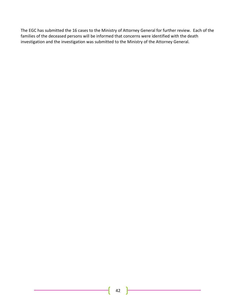The EGC has submitted the 16 cases to the Ministry of Attorney General for further review. Each of the families of the deceased persons will be informed that concerns were identified with the death investigation and the investigation was submitted to the Ministry of the Attorney General.